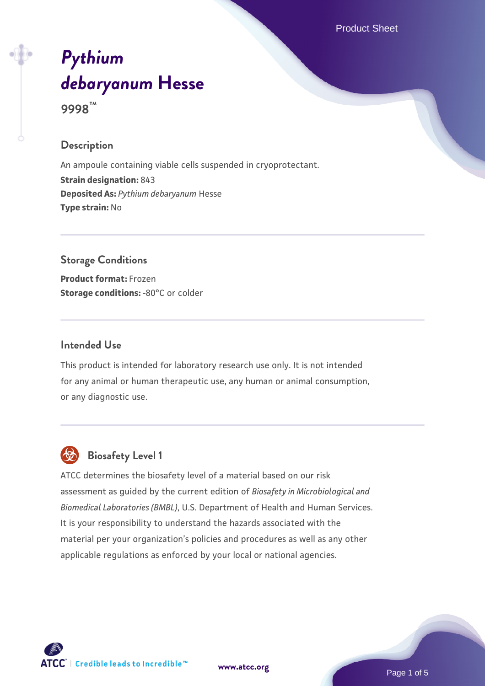Product Sheet

# *[Pythium](https://www.atcc.org/products/9998) [debaryanum](https://www.atcc.org/products/9998)* **[Hesse](https://www.atcc.org/products/9998)**

**9998™**

# **Description**

An ampoule containing viable cells suspended in cryoprotectant. **Strain designation:** 843 **Deposited As:** *Pythium debaryanum* Hesse **Type strain:** No

# **Storage Conditions**

**Product format:** Frozen **Storage conditions: -80°C or colder** 

# **Intended Use**

This product is intended for laboratory research use only. It is not intended for any animal or human therapeutic use, any human or animal consumption, or any diagnostic use.



# **Biosafety Level 1**

ATCC determines the biosafety level of a material based on our risk assessment as guided by the current edition of *Biosafety in Microbiological and Biomedical Laboratories (BMBL)*, U.S. Department of Health and Human Services. It is your responsibility to understand the hazards associated with the material per your organization's policies and procedures as well as any other applicable regulations as enforced by your local or national agencies.

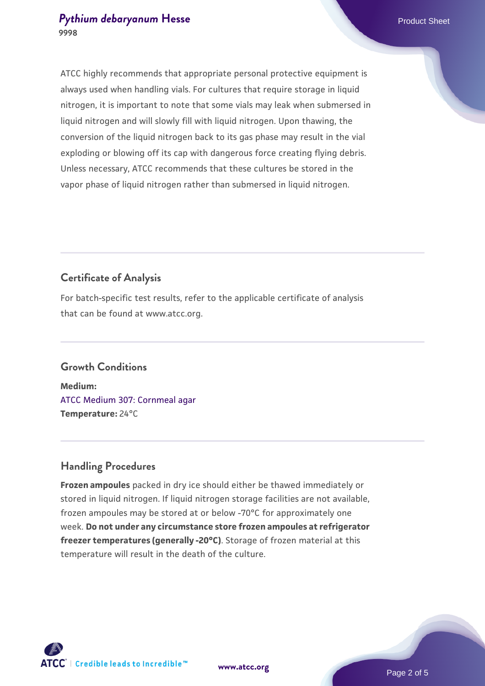#### **[Pythium debaryanum](https://www.atcc.org/products/9998) [Hesse](https://www.atcc.org/products/9998) Product Sheet** Product Sheet **9998**

ATCC highly recommends that appropriate personal protective equipment is always used when handling vials. For cultures that require storage in liquid nitrogen, it is important to note that some vials may leak when submersed in liquid nitrogen and will slowly fill with liquid nitrogen. Upon thawing, the conversion of the liquid nitrogen back to its gas phase may result in the vial exploding or blowing off its cap with dangerous force creating flying debris. Unless necessary, ATCC recommends that these cultures be stored in the vapor phase of liquid nitrogen rather than submersed in liquid nitrogen.

# **Certificate of Analysis**

For batch-specific test results, refer to the applicable certificate of analysis that can be found at www.atcc.org.

# **Growth Conditions**

**Medium:**  [ATCC Medium 307: Cornmeal agar](https://www.atcc.org/-/media/product-assets/documents/microbial-media-formulations/3/0/7/atcc-medium-307.pdf?rev=5cd8aaa5fcde44f5873396cc2a06f590) **Temperature:** 24°C

# **Handling Procedures**

**Frozen ampoules** packed in dry ice should either be thawed immediately or stored in liquid nitrogen. If liquid nitrogen storage facilities are not available, frozen ampoules may be stored at or below -70°C for approximately one week. **Do not under any circumstance store frozen ampoules at refrigerator freezer temperatures (generally -20°C)**. Storage of frozen material at this temperature will result in the death of the culture.



**[www.atcc.org](http://www.atcc.org)**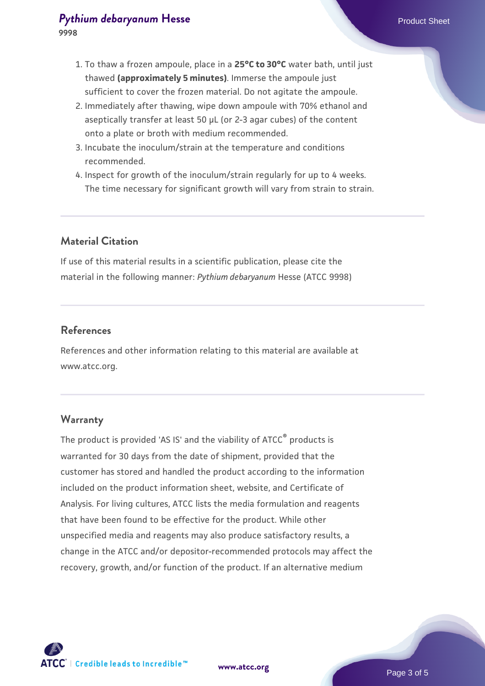#### **[Pythium debaryanum](https://www.atcc.org/products/9998) [Hesse](https://www.atcc.org/products/9998) Product Sheet** Product Sheet **9998**

- 1. To thaw a frozen ampoule, place in a **25°C to 30°C** water bath, until just thawed **(approximately 5 minutes)**. Immerse the ampoule just sufficient to cover the frozen material. Do not agitate the ampoule.
- 2. Immediately after thawing, wipe down ampoule with 70% ethanol and aseptically transfer at least 50 µL (or 2-3 agar cubes) of the content onto a plate or broth with medium recommended.
- 3. Incubate the inoculum/strain at the temperature and conditions recommended.
- 4. Inspect for growth of the inoculum/strain regularly for up to 4 weeks. The time necessary for significant growth will vary from strain to strain.

# **Material Citation**

If use of this material results in a scientific publication, please cite the material in the following manner: *Pythium debaryanum* Hesse (ATCC 9998)

#### **References**

References and other information relating to this material are available at www.atcc.org.

#### **Warranty**

The product is provided 'AS IS' and the viability of ATCC® products is warranted for 30 days from the date of shipment, provided that the customer has stored and handled the product according to the information included on the product information sheet, website, and Certificate of Analysis. For living cultures, ATCC lists the media formulation and reagents that have been found to be effective for the product. While other unspecified media and reagents may also produce satisfactory results, a change in the ATCC and/or depositor-recommended protocols may affect the recovery, growth, and/or function of the product. If an alternative medium



**[www.atcc.org](http://www.atcc.org)**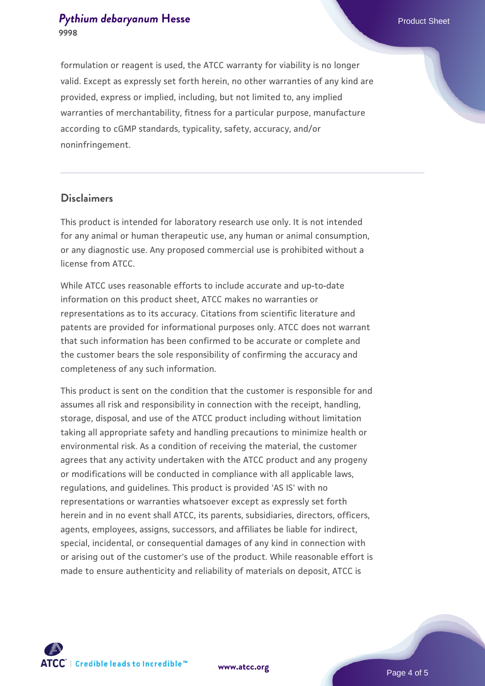#### **[Pythium debaryanum](https://www.atcc.org/products/9998) [Hesse](https://www.atcc.org/products/9998) Product Sheet** Product Sheet **9998**

formulation or reagent is used, the ATCC warranty for viability is no longer valid. Except as expressly set forth herein, no other warranties of any kind are provided, express or implied, including, but not limited to, any implied warranties of merchantability, fitness for a particular purpose, manufacture according to cGMP standards, typicality, safety, accuracy, and/or noninfringement.

#### **Disclaimers**

This product is intended for laboratory research use only. It is not intended for any animal or human therapeutic use, any human or animal consumption, or any diagnostic use. Any proposed commercial use is prohibited without a license from ATCC.

While ATCC uses reasonable efforts to include accurate and up-to-date information on this product sheet, ATCC makes no warranties or representations as to its accuracy. Citations from scientific literature and patents are provided for informational purposes only. ATCC does not warrant that such information has been confirmed to be accurate or complete and the customer bears the sole responsibility of confirming the accuracy and completeness of any such information.

This product is sent on the condition that the customer is responsible for and assumes all risk and responsibility in connection with the receipt, handling, storage, disposal, and use of the ATCC product including without limitation taking all appropriate safety and handling precautions to minimize health or environmental risk. As a condition of receiving the material, the customer agrees that any activity undertaken with the ATCC product and any progeny or modifications will be conducted in compliance with all applicable laws, regulations, and guidelines. This product is provided 'AS IS' with no representations or warranties whatsoever except as expressly set forth herein and in no event shall ATCC, its parents, subsidiaries, directors, officers, agents, employees, assigns, successors, and affiliates be liable for indirect, special, incidental, or consequential damages of any kind in connection with or arising out of the customer's use of the product. While reasonable effort is made to ensure authenticity and reliability of materials on deposit, ATCC is